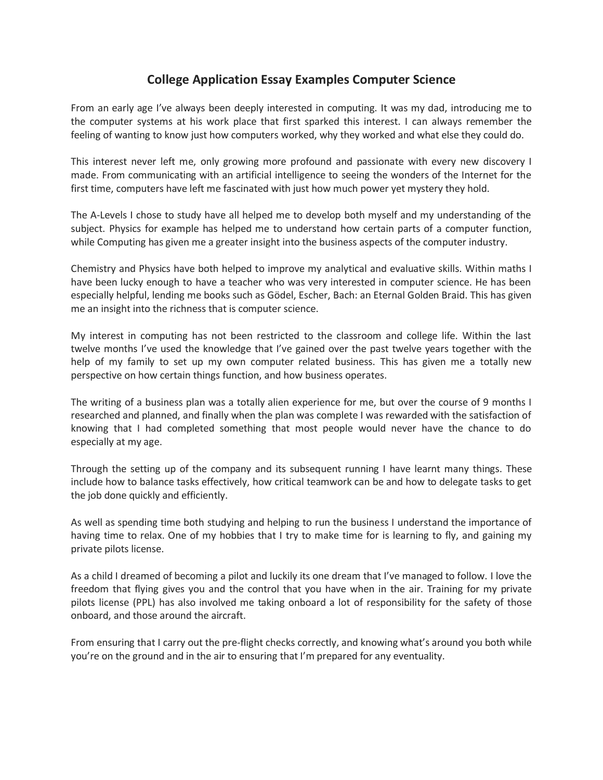## **College Application Essay Examples Computer Science**

From an early age I've always been deeply interested in computing. It was my dad, introducing me to the computer systems at his work place that first sparked this interest. I can always remember the feeling of wanting to know just how computers worked, why they worked and what else they could do.

This interest never left me, only growing more profound and passionate with every new discovery I made. From communicating with an artificial intelligence to seeing the wonders of the Internet for the first time, computers have left me fascinated with just how much power yet mystery they hold.

The A-Levels I chose to study have all helped me to develop both myself and my understanding of the subject. Physics for example has helped me to understand how certain parts of a computer function, while Computing has given me a greater insight into the business aspects of the computer industry.

Chemistry and Physics have both helped to improve my analytical and evaluative skills. Within maths I have been lucky enough to have a teacher who was very interested in computer science. He has been especially helpful, lending me books such as Gödel, Escher, Bach: an Eternal Golden Braid. This has given me an insight into the richness that is computer science.

My interest in computing has not been restricted to the classroom and college life. Within the last twelve months I've used the knowledge that I've gained over the past twelve years together with the help of my family to set up my own computer related business. This has given me a totally new perspective on how certain things function, and how business operates.

The writing of a business plan was a totally alien experience for me, but over the course of 9 months I researched and planned, and finally when the plan was complete I was rewarded with the satisfaction of knowing that I had completed something that most people would never have the chance to do especially at my age.

Through the setting up of the company and its subsequent running I have learnt many things. These include how to balance tasks effectively, how critical teamwork can be and how to delegate tasks to get the job done quickly and efficiently.

As well as spending time both studying and helping to run the business I understand the importance of having time to relax. One of my hobbies that I try to make time for is learning to fly, and gaining my private pilots license.

As a child I dreamed of becoming a pilot and luckily its one dream that I've managed to follow. I love the freedom that flying gives you and the control that you have when in the air. Training for my private pilots license (PPL) has also involved me taking onboard a lot of responsibility for the safety of those onboard, and those around the aircraft.

From ensuring that I carry out the pre-flight checks correctly, and knowing what's around you both while you're on the ground and in the air to ensuring that I'm prepared for any eventuality.